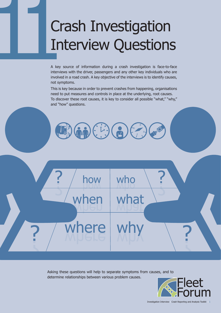# **Crash Investigation<br>Interview Questions**

A key source of information during a crash investigation is face-to-face interviews with the driver, passengers and any other key individuals who are involved in a road crash. A key objective of the interviews is to identify causes, not symptoms.

This is key because in order to prevent crashes from happening, organisations need to put measures and controls in place at the underlying, root causes. To discover these root causes, it is key to consider all possible "what," "why," and "how" questions.



how  $\mid$  who

when

where

?

?



why

what

?



?

Investigation Interview | Crash Reporting and Analysis Toolkit | 1